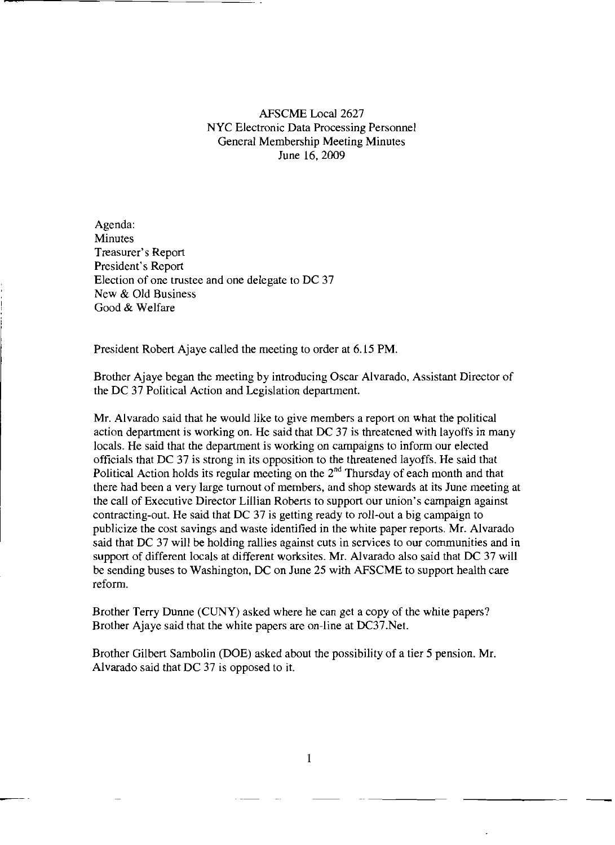## AFSCME Local 2627 NYC Electronic Data Processing Personnel General Membership Meeting Minutes June 16,2009

Agenda: **Minutes** Treasurer's Report President's Report Election of one trustee and one delegate to DC 37 New & Old Business Good & Welfare

President Robert Ajaye called the meeting to order at 6.15 PM.

Brother Ajaye began the meeting by introducing Oscar Alvarado, Assistant Director of the DC 37 Political Action and Legislation department.

Mr. Alvarado said that he would like to give members a report on what the political action department is working on. He said that DC 37 is threatened with layoffs in many locals. He said that the department is working on campaigns to inform our elected officials that DC 37 is strong in its opposition to the threatened layoffs. He said that Political Action holds its regular meeting on the  $2^{nd}$  Thursday of each month and that there had been a very large turnout of members, and shop stewards at its June meeting at the call of Executive Director Lillian Roberts to support our union's campaign against contracting-out. He said that DC 37 is getting ready to roll-out a big campaign to publicize the cost savings and waste identified in the white paper reports. Mr. Alvarado said that DC 37 will be holding rallies against cuts in services to our communities and in support of different locals at different worksites. Mr. Alvarado also said that DC 37 will be sending buses to Washington, DC on June 25 with AFSCME to support health care reform.

Brother Terry Dunne (CUNY) asked where he can get a copy of the white papers? Brother Ajaye said that the white papers are on-line at DC37.Net.

Brother Gilbert Sambolin (DOE) asked about the possibility of a tier 5 pension. Mr. Alvarado said that DC 37 is opposed to it.

1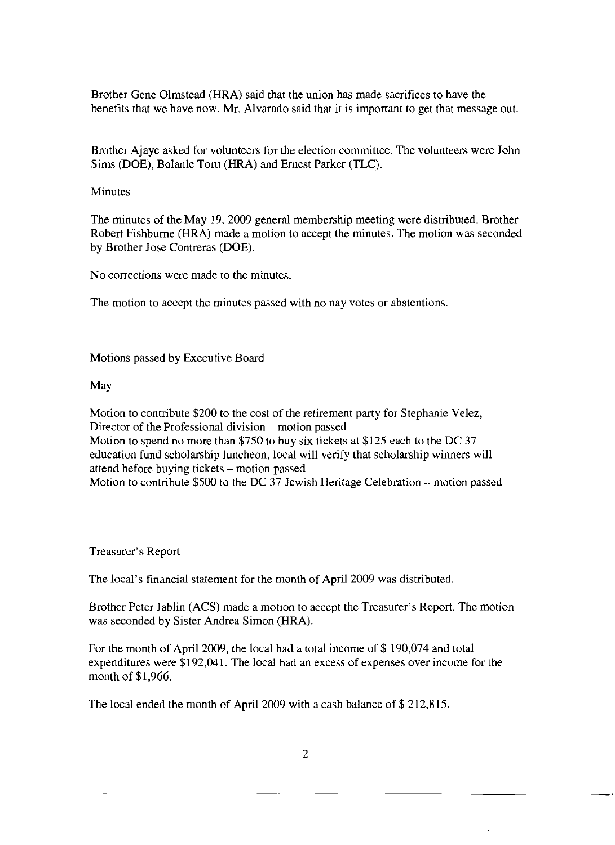Brother Gene Olmstead (HRA) said that the union has made sacrifices to have the benefits that we have now. Mr. Alvarado said that it is important to get that message out.

Brother Ajaye asked for volunteers for the election committee. The volunteers were John Sims (DOE), Bolanle Toru (HRA) and Ernest Parker (TLC).

## Minutes

The minutes of the May 19,2009 general membership meeting were distributed. Brother Robert Fishburne (HRA) made a motion to accept the minutes. The motion was seconded by Brother Jose Contreras (DOE).

No corrections were made to the minutes.

The motion to accept the minutes passed with no nay votes or abstentions.

Motions passed by Executive Board

## May

Motion to contribute \$200 to the cost of the retirement party for Stephanie Velez, Director of the Professional division – motion passed Motion to spend no more than \$750 to buy six tickets at \$125 each to the DC 37 education fund scholarship luncheon, local will verify that scholarship winners will attend before buying tickets - motion passed Motion to contribute \$500 to the DC 37 Jewish Heritage Celebration - motion passed

## Treasurer's Report

The local's financial statement for the month of April 2009 was distributed.

Brother Peter Jablin (ACS) made a motion to accept the Treasurer's Report. The motion was seconded by Sister Andrea Simon (HRA).

For the month of April 2009, the local had a total income of \$ 190,074 and total expenditures were \$192,041. The local had an excess of expenses over income for the month of \$1,966.

The local ended the month of April 2009 with a cash balance of \$ 212,815.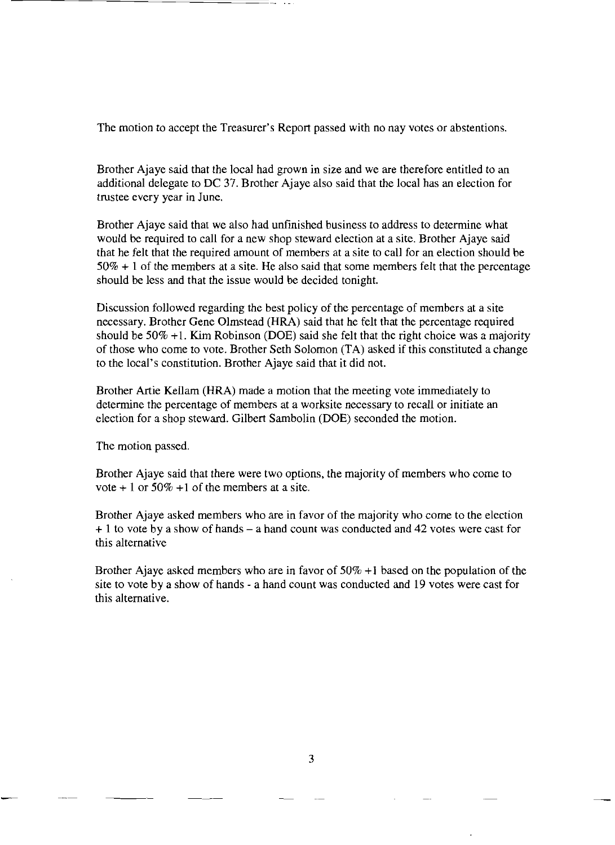The motion to accept the Treasurer's Report passed with no nay votes or abstentions.

Brother Ajaye said that the local had grown in size and we are therefore entitled to an additional delegate to DC 37. Brother Ajaye also said that the local has an election for trustee every year in June.

Brother Ajaye said that we also had unfinished business to address to determine what would be required to call for a new shop steward election at a site. Brother Ajaye said that he felt that the required amount of members at a site to call for an election should be  $50\% + 1$  of the members at a site. He also said that some members felt that the percentage should be less and that the issue would be decided tonight.

Discussion followed regarding the best policy of the percentage of members at a site necessary. Brother Gene Olmstead (HRA) said that he felt that the percentage required should be  $50\% +1$ . Kim Robinson (DOE) said she felt that the right choice was a majority of those who come to vote. Brother Seth Solomon (TA) asked if this constituted a change to the local's constitution. Brother Ajaye said that it did not.

Brother Artie Kellam (HRA) made a motion that the meeting vote immediately to determine the percentage of members at a worksite necessary to recall or initiate an election for a shop steward. Gilbert Sambolin (DOE) seconded the motion.

The motion passed.

Brother Ajaye said that there were two options, the majority of members who come to vote  $+1$  or 50%  $+1$  of the members at a site.

Brother Ajaye asked members who are in favor of the majority who come to the election  $+ 1$  to vote by a show of hands  $- a$  hand count was conducted and 42 votes were cast for this alternative

Brother Ajaye asked members who are in favor of 50% +I based on the population of the site to vote by a show of hands - a hand count was conducted and 19 votes were cast for this alternative.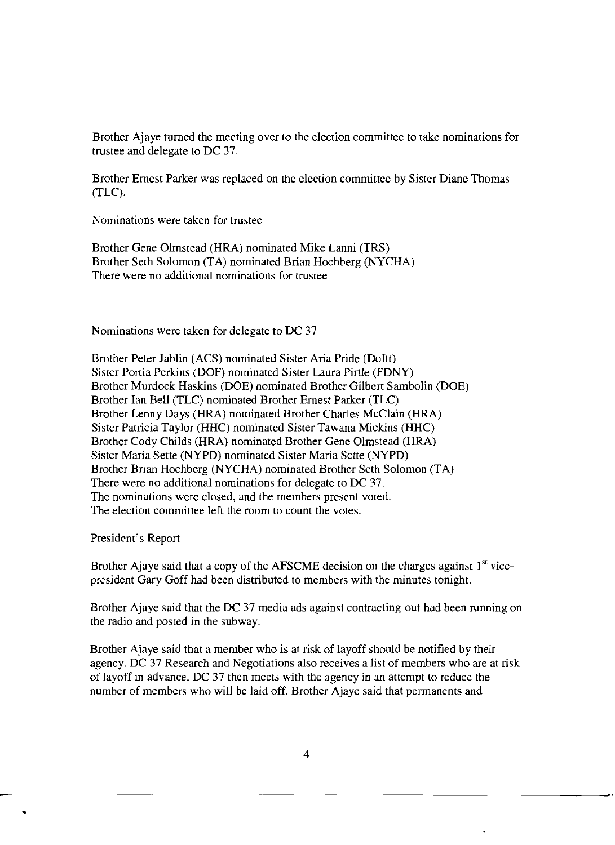Brother Ajaye turned the meeting over to the election committee to take nominations for trustee and delegate to DC 37.

Brother Ernest Parker was replaced on the election committee by Sister Diane Thomas (TLC).

Nominations were taken for trustee

Brother Gene Olmstead (HRA) nominated Mike Lanni (TRS) Brother Seth Solomon (TA) nominated Brian Hochberg (NYCHA) There were no additional nominations for trustee

Nominations were taken for delegate to DC 37

Brother Peter Jablin (ACS) nominated Sister Aria Pride (DoItt) Sister Portia Perkins (DOF) nominated Sister Laura Pirtle (FDNY) Brother Murdock Haskins (DOE) nominated Brother Gilbert Sambolin (DOE) Brother Ian Bell (TLC) nominated Brother Ernest Parker (TLC) Brother Lenny Days (HRA) nominated Brother Charles McClain (HRA) Sister Patricia Taylor (HHC) nominated Sister Tawana Mickins (HHC) Brother Cody Childs (HRA) nominated Brother Gene Olmstead (HRA) Sister Maria Sette (NYPD) nominated Sister Maria Sette (NYPD) Brother Brian Hochberg (NYCHA) nominated Brother Seth Solomon (TA) There were no additional nominations for delegate to DC 37. The nominations were closed, and the members present voted. The election committee left the room to count the votes.

President's Report

•

Brother Ajaye said that a copy of the AFSCME decision on the charges against  $1<sup>st</sup>$  vicepresident Gary Goff had been distributed to members with the minutes tonight.

Brother Ajaye said that the DC 37 media ads against contracting-out had been running on the radio and posted in the subway.

Brother Ajaye said that a member who is at risk of layoff should be notified by their agency. DC 37 Research and Negotiations also receives a list of members who are at risk of layoff in advance. DC 37 then meets with the agency in an attempt to reduce the number of members who will be laid off. Brother Ajaye said that permanents and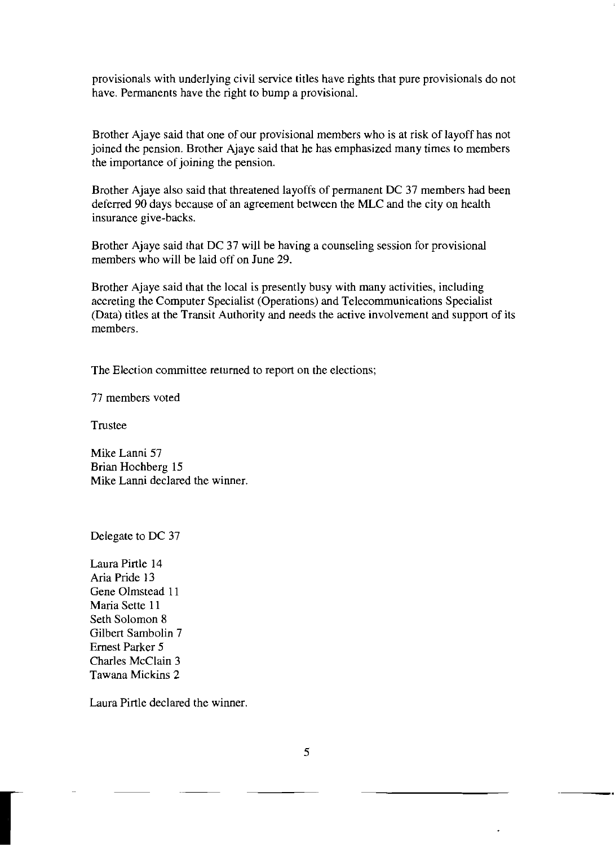provisionals with underlying civil service titles have rights that pure provisionals do not have. Permanents have the right to bump a provisional.

Brother Ajaye said that one of our provisional members who is at risk of layoff has not joined the pension. Brother Ajaye said that he has emphasized many times to members the importance of joining the pension.

Brother Ajaye also said that threatened layoffs of permanent DC 37 members had been deferred 90 days because of an agreement between the MLC and the city on health insurance give-backs.

Brother Ajaye said that DC 37 will be having a counseling session for provisional members who will be laid off on June 29.

Brother Ajaye said that the local is presently busy with many activities, including accreting the Computer Specialist (Operations) and Telecommunications Specialist (Data) titles at the Transit Authority and needs the active involvement and support of its members.

The Election committee returned to report on the elections;

77 members voted

Trustee

Mike Lanni 57 Brian Hochberg 15 Mike Lanni declared the winner.

Delegate to DC 37

Laura Pirtle 14 Aria Pride 13 Gene Olmstead 11 Maria Sette 11 Seth Solomon 8 Gilbert Sambolin 7 Ernest Parker 5 Charles McClain 3 Tawana Mickins 2

r

Laura Pirtle declared the winner.